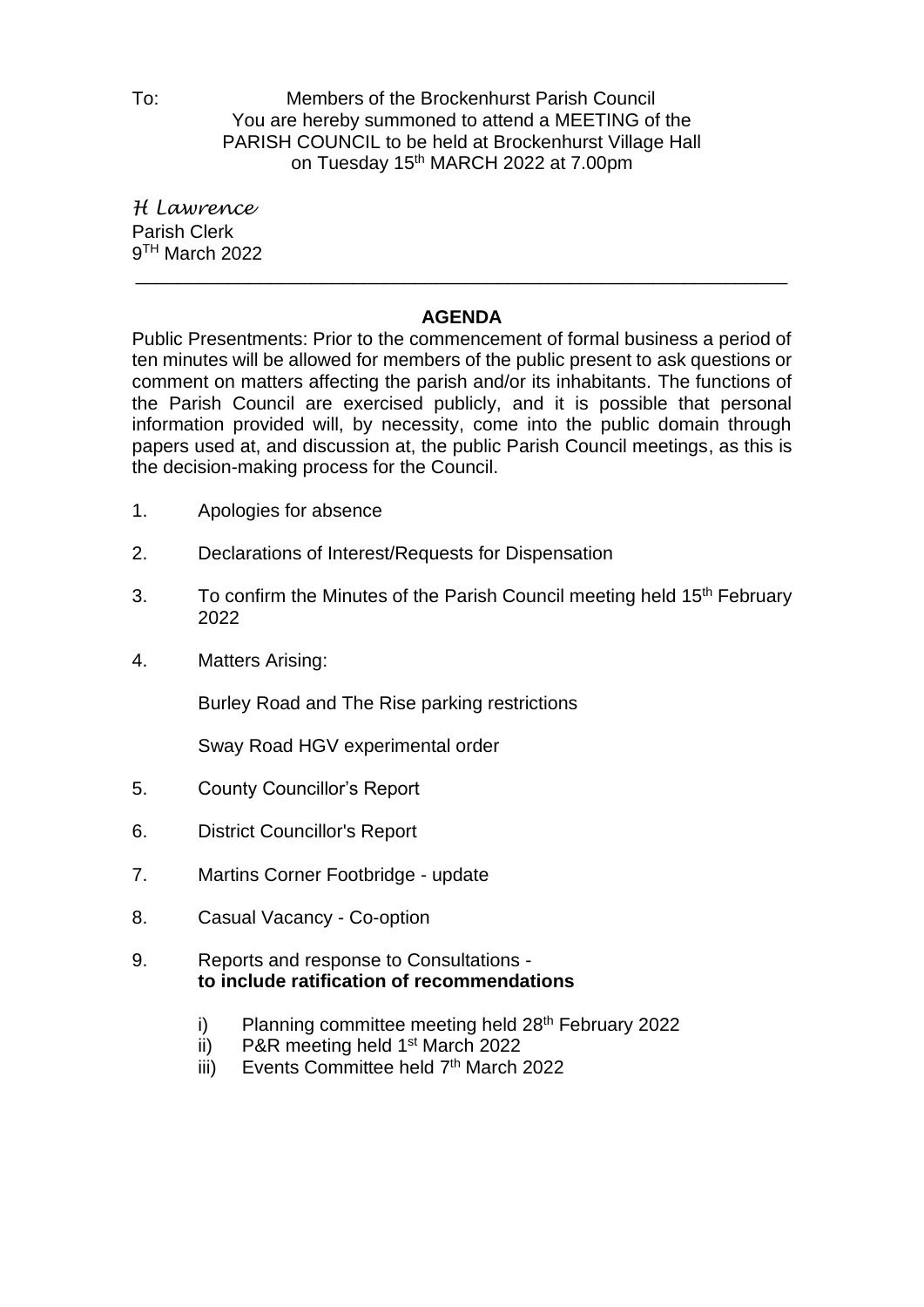To: Members of the Brockenhurst Parish Council You are hereby summoned to attend a MEETING of the PARISH COUNCIL to be held at Brockenhurst Village Hall on Tuesday 15<sup>th</sup> MARCH 2022 at 7.00pm

*H Lawrence* Parish Clerk 9 TH March 2022

## **AGENDA**

\_\_\_\_\_\_\_\_\_\_\_\_\_\_\_\_\_\_\_\_\_\_\_\_\_\_\_\_\_\_\_\_\_\_\_\_\_\_\_\_\_\_\_\_\_\_\_\_\_\_\_\_\_\_\_\_\_\_\_\_\_\_\_

Public Presentments: Prior to the commencement of formal business a period of ten minutes will be allowed for members of the public present to ask questions or comment on matters affecting the parish and/or its inhabitants. The functions of the Parish Council are exercised publicly, and it is possible that personal information provided will, by necessity, come into the public domain through papers used at, and discussion at, the public Parish Council meetings, as this is the decision-making process for the Council.

- 1. Apologies for absence
- 2. Declarations of Interest/Requests for Dispensation
- 3. To confirm the Minutes of the Parish Council meeting held 15<sup>th</sup> February 2022
- 4. Matters Arising:

Burley Road and The Rise parking restrictions

Sway Road HGV experimental order

- 5. County Councillor's Report
- 6. District Councillor's Report
- 7. Martins Corner Footbridge update
- 8. Casual Vacancy Co-option
- 9. Reports and response to Consultations **to include ratification of recommendations**
	- i) Planning committee meeting held 28<sup>th</sup> February 2022
	- ii) P&R meeting held 1<sup>st</sup> March 2022
	- iii) Events Committee held 7<sup>th</sup> March 2022